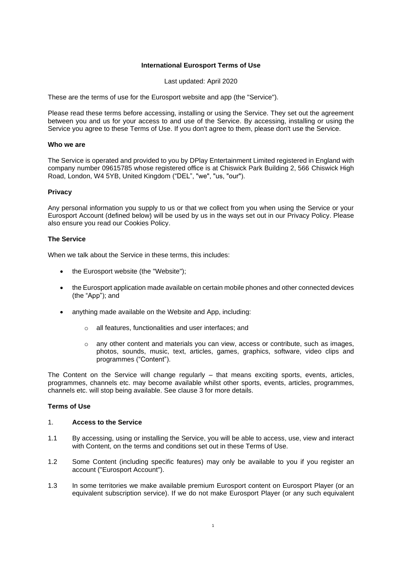# **International Eurosport Terms of Use**

Last updated: April 2020

These are the terms of use for the Eurosport website and app (the "Service").

Please read these terms before accessing, installing or using the Service. They set out the agreement between you and us for your access to and use of the Service. By accessing, installing or using the Service you agree to these Terms of Use. If you don't agree to them, please don't use the Service.

## **Who we are**

The Service is operated and provided to you by DPlay Entertainment Limited registered in England with company number 09615785 whose registered office is at Chiswick Park Building 2, 566 Chiswick High Road, London, W4 5YB, United Kingdom ("DEL", "we", "us, "our").

### **Privacy**

Any personal information you supply to us or that we collect from you when using the Service or your Eurosport Account (defined below) will be used by us in the ways set out in our Privacy Policy. Please also ensure you read our Cookies Policy.

#### **The Service**

When we talk about the Service in these terms, this includes:

- the Eurosport website (the "Website"):
- the Eurosport application made available on certain mobile phones and other connected devices (the "App"); and
- anything made available on the Website and App, including:
	- o all features, functionalities and user interfaces; and
	- o any other content and materials you can view, access or contribute, such as images, photos, sounds, music, text, articles, games, graphics, software, video clips and programmes ("Content").

The Content on the Service will change regularly – that means exciting sports, events, articles, programmes, channels etc. may become available whilst other sports, events, articles, programmes, channels etc. will stop being available. See clause [3](#page-1-0) for more details.

#### **Terms of Use**

## 1. **Access to the Service**

- 1.1 By accessing, using or installing the Service, you will be able to access, use, view and interact with Content, on the terms and conditions set out in these Terms of Use.
- 1.2 Some Content (including specific features) may only be available to you if you register an account ("Eurosport Account").
- 1.3 In some territories we make available premium Eurosport content on Eurosport Player (or an equivalent subscription service). If we do not make Eurosport Player (or any such equivalent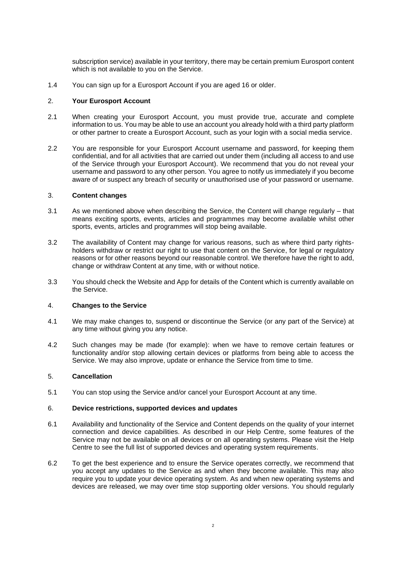subscription service) available in your territory, there may be certain premium Eurosport content which is not available to you on the Service.

1.4 You can sign up for a Eurosport Account if you are aged 16 or older.

## 2. **Your Eurosport Account**

- 2.1 When creating your Eurosport Account, you must provide true, accurate and complete information to us. You may be able to use an account you already hold with a third party platform or other partner to create a Eurosport Account, such as your login with a social media service.
- 2.2 You are responsible for your Eurosport Account username and password, for keeping them confidential, and for all activities that are carried out under them (including all access to and use of the Service through your Eurosport Account). We recommend that you do not reveal your username and password to any other person. You agree to notify us immediately if you become aware of or suspect any breach of security or unauthorised use of your password or username.

#### <span id="page-1-0"></span>3. **Content changes**

- 3.1 As we mentioned above when describing the Service, the Content will change regularly that means exciting sports, events, articles and programmes may become available whilst other sports, events, articles and programmes will stop being available.
- 3.2 The availability of Content may change for various reasons, such as where third party rightsholders withdraw or restrict our right to use that content on the Service, for legal or regulatory reasons or for other reasons beyond our reasonable control. We therefore have the right to add, change or withdraw Content at any time, with or without notice.
- 3.3 You should check the Website and App for details of the Content which is currently available on the Service.

### 4. **Changes to the Service**

- 4.1 We may make changes to, suspend or discontinue the Service (or any part of the Service) at any time without giving you any notice.
- 4.2 Such changes may be made (for example): when we have to remove certain features or functionality and/or stop allowing certain devices or platforms from being able to access the Service. We may also improve, update or enhance the Service from time to time.

### 5. **Cancellation**

5.1 You can stop using the Service and/or cancel your Eurosport Account at any time.

#### 6. **Device restrictions, supported devices and updates**

- 6.1 Availability and functionality of the Service and Content depends on the quality of your internet connection and device capabilities. As described in our Help Centre, some features of the Service may not be available on all devices or on all operating systems. Please visit the Help Centre to see the full list of supported devices and operating system requirements.
- 6.2 To get the best experience and to ensure the Service operates correctly, we recommend that you accept any updates to the Service as and when they become available. This may also require you to update your device operating system. As and when new operating systems and devices are released, we may over time stop supporting older versions. You should regularly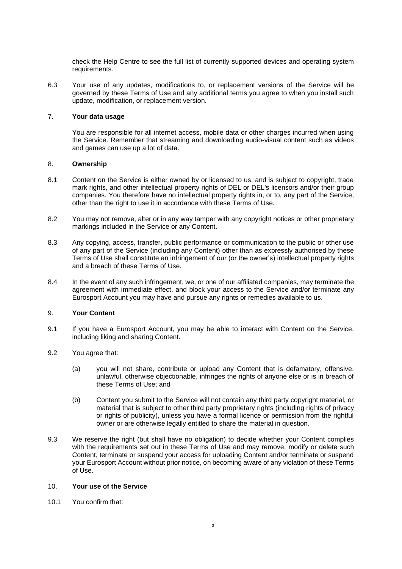check the Help Centre to see the full list of currently supported devices and operating system requirements.

6.3 Your use of any updates, modifications to, or replacement versions of the Service will be governed by these Terms of Use and any additional terms you agree to when you install such update, modification, or replacement version.

# 7. **Your data usage**

You are responsible for all internet access, mobile data or other charges incurred when using the Service. Remember that streaming and downloading audio-visual content such as videos and games can use up a lot of data.

# 8. **Ownership**

- 8.1 Content on the Service is either owned by or licensed to us, and is subject to copyright, trade mark rights, and other intellectual property rights of DEL or DEL's licensors and/or their group companies. You therefore have no intellectual property rights in, or to, any part of the Service, other than the right to use it in accordance with these Terms of Use.
- 8.2 You may not remove, alter or in any way tamper with any copyright notices or other proprietary markings included in the Service or any Content.
- 8.3 Any copying, access, transfer, public performance or communication to the public or other use of any part of the Service (including any Content) other than as expressly authorised by these Terms of Use shall constitute an infringement of our (or the owner's) intellectual property rights and a breach of these Terms of Use.
- 8.4 In the event of any such infringement, we, or one of our affiliated companies, may terminate the agreement with immediate effect, and block your access to the Service and/or terminate any Eurosport Account you may have and pursue any rights or remedies available to us.

### 9. **Your Content**

- 9.1 If you have a Eurosport Account, you may be able to interact with Content on the Service, including liking and sharing Content.
- 9.2 You agree that:
	- (a) you will not share, contribute or upload any Content that is defamatory, offensive, unlawful, otherwise objectionable, infringes the rights of anyone else or is in breach of these Terms of Use; and
	- (b) Content you submit to the Service will not contain any third party copyright material, or material that is subject to other third party proprietary rights (including rights of privacy or rights of publicity), unless you have a formal licence or permission from the rightful owner or are otherwise legally entitled to share the material in question.
- 9.3 We reserve the right (but shall have no obligation) to decide whether your Content complies with the requirements set out in these Terms of Use and may remove, modify or delete such Content, terminate or suspend your access for uploading Content and/or terminate or suspend your Eurosport Account without prior notice, on becoming aware of any violation of these Terms of Use.

## 10. **Your use of the Service**

10.1 You confirm that: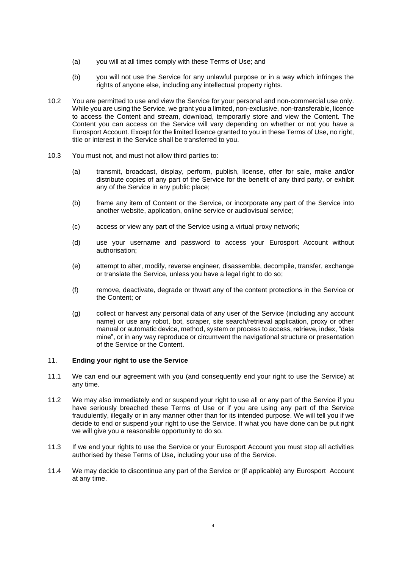- (a) you will at all times comply with these Terms of Use; and
- (b) you will not use the Service for any unlawful purpose or in a way which infringes the rights of anyone else, including any intellectual property rights.
- 10.2 You are permitted to use and view the Service for your personal and non-commercial use only. While you are using the Service, we grant you a limited, non-exclusive, non-transferable, licence to access the Content and stream, download, temporarily store and view the Content. The Content you can access on the Service will vary depending on whether or not you have a Eurosport Account. Except for the limited licence granted to you in these Terms of Use, no right, title or interest in the Service shall be transferred to you.
- 10.3 You must not, and must not allow third parties to:
	- (a) transmit, broadcast, display, perform, publish, license, offer for sale, make and/or distribute copies of any part of the Service for the benefit of any third party, or exhibit any of the Service in any public place;
	- (b) frame any item of Content or the Service, or incorporate any part of the Service into another website, application, online service or audiovisual service;
	- (c) access or view any part of the Service using a virtual proxy network;
	- (d) use your username and password to access your Eurosport Account without authorisation;
	- (e) attempt to alter, modify, reverse engineer, disassemble, decompile, transfer, exchange or translate the Service, unless you have a legal right to do so;
	- (f) remove, deactivate, degrade or thwart any of the content protections in the Service or the Content; or
	- (g) collect or harvest any personal data of any user of the Service (including any account name) or use any robot, bot, scraper, site search/retrieval application, proxy or other manual or automatic device, method, system or process to access, retrieve, index, "data mine", or in any way reproduce or circumvent the navigational structure or presentation of the Service or the Content.

### 11. **Ending your right to use the Service**

- 11.1 We can end our agreement with you (and consequently end your right to use the Service) at any time.
- 11.2 We may also immediately end or suspend your right to use all or any part of the Service if you have seriously breached these Terms of Use or if you are using any part of the Service fraudulently, illegally or in any manner other than for its intended purpose. We will tell you if we decide to end or suspend your right to use the Service. If what you have done can be put right we will give you a reasonable opportunity to do so.
- 11.3 If we end your rights to use the Service or your Eurosport Account you must stop all activities authorised by these Terms of Use, including your use of the Service.
- 11.4 We may decide to discontinue any part of the Service or (if applicable) any Eurosport Account at any time.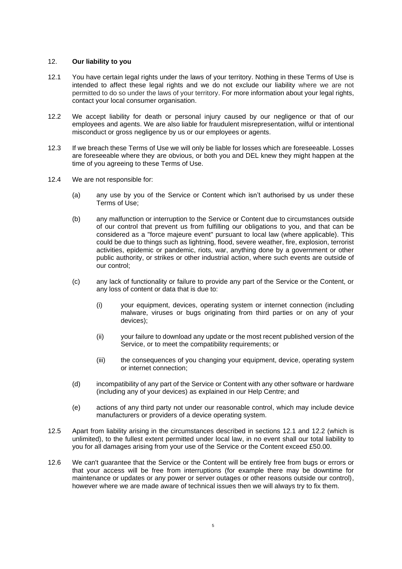### 12. **Our liability to you**

- <span id="page-4-0"></span>12.1 You have certain legal rights under the laws of your territory. Nothing in these Terms of Use is intended to affect these legal rights and we do not exclude our liability where we are not permitted to do so under the laws of your territory. For more information about your legal rights, contact your local consumer organisation.
- <span id="page-4-1"></span>12.2 We accept liability for death or personal injury caused by our negligence or that of our employees and agents. We are also liable for fraudulent misrepresentation, wilful or intentional misconduct or gross negligence by us or our employees or agents.
- 12.3 If we breach these Terms of Use we will only be liable for losses which are foreseeable. Losses are foreseeable where they are obvious, or both you and DEL knew they might happen at the time of you agreeing to these Terms of Use.
- 12.4 We are not responsible for:
	- (a) any use by you of the Service or Content which isn't authorised by us under these Terms of Use;
	- (b) any malfunction or interruption to the Service or Content due to circumstances outside of our control that prevent us from fulfilling our obligations to you, and that can be considered as a "force majeure event" pursuant to local law (where applicable). This could be due to things such as lightning, flood, severe weather, fire, explosion, terrorist activities, epidemic or pandemic, riots, war, anything done by a government or other public authority, or strikes or other industrial action, where such events are outside of our control;
	- (c) any lack of functionality or failure to provide any part of the Service or the Content, or any loss of content or data that is due to:
		- (i) your equipment, devices, operating system or internet connection (including malware, viruses or bugs originating from third parties or on any of your devices);
		- (ii) your failure to download any update or the most recent published version of the Service, or to meet the compatibility requirements; or
		- (iii) the consequences of you changing your equipment, device, operating system or internet connection;
	- (d) incompatibility of any part of the Service or Content with any other software or hardware (including any of your devices) as explained in our Help Centre; and
	- (e) actions of any third party not under our reasonable control, which may include device manufacturers or providers of a device operating system.
- 12.5 Apart from liability arising in the circumstances described in sections [12.1](#page-4-0) and [12.2](#page-4-1) (which is unlimited), to the fullest extent permitted under local law, in no event shall our total liability to you for all damages arising from your use of the Service or the Content exceed £50.00.
- 12.6 We can't guarantee that the Service or the Content will be entirely free from bugs or errors or that your access will be free from interruptions (for example there may be downtime for maintenance or updates or any power or server outages or other reasons outside our control), however where we are made aware of technical issues then we will always try to fix them.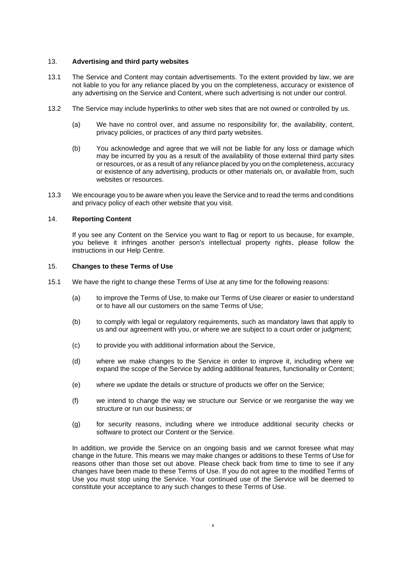## 13. **Advertising and third party websites**

- 13.1 The Service and Content may contain advertisements. To the extent provided by law, we are not liable to you for any reliance placed by you on the completeness, accuracy or existence of any advertising on the Service and Content, where such advertising is not under our control.
- 13.2 The Service may include hyperlinks to other web sites that are not owned or controlled by us.
	- (a) We have no control over, and assume no responsibility for, the availability, content, privacy policies, or practices of any third party websites.
	- (b) You acknowledge and agree that we will not be liable for any loss or damage which may be incurred by you as a result of the availability of those external third party sites or resources, or as a result of any reliance placed by you on the completeness, accuracy or existence of any advertising, products or other materials on, or available from, such websites or resources.
- 13.3 We encourage you to be aware when you leave the Service and to read the terms and conditions and privacy policy of each other website that you visit.

# 14. **Reporting Content**

If you see any Content on the Service you want to flag or report to us because, for example, you believe it infringes another person's intellectual property rights, please follow the instructions in our Help Centre.

### 15. **Changes to these Terms of Use**

- 15.1 We have the right to change these Terms of Use at any time for the following reasons:
	- (a) to improve the Terms of Use, to make our Terms of Use clearer or easier to understand or to have all our customers on the same Terms of Use;
	- (b) to comply with legal or regulatory requirements, such as mandatory laws that apply to us and our agreement with you, or where we are subject to a court order or judgment;
	- (c) to provide you with additional information about the Service,
	- (d) where we make changes to the Service in order to improve it, including where we expand the scope of the Service by adding additional features, functionality or Content;
	- (e) where we update the details or structure of products we offer on the Service;
	- (f) we intend to change the way we structure our Service or we reorganise the way we structure or run our business; or
	- (g) for security reasons, including where we introduce additional security checks or software to protect our Content or the Service.

In addition, we provide the Service on an ongoing basis and we cannot foresee what may change in the future. This means we may make changes or additions to these Terms of Use for reasons other than those set out above. Please check back from time to time to see if any changes have been made to these Terms of Use. If you do not agree to the modified Terms of Use you must stop using the Service. Your continued use of the Service will be deemed to constitute your acceptance to any such changes to these Terms of Use.